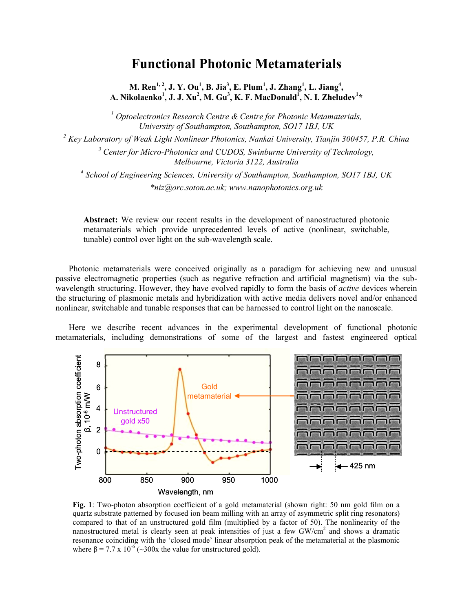## **Functional Photonic Metamaterials**

**M.** Ren<sup>1, 2</sup>, J. Y. Ou<sup>1</sup>, B. Jia<sup>3</sup>, E. Plum<sup>1</sup>, J. Zhang<sup>1</sup>, L. Jiang<sup>4</sup>, **A. Nikolaenko<sup>1</sup> , J. J. Xu2 , M. Gu3 , K. F. MacDonald1 , N. I. Zheludev<sup>1</sup> \*** 

<sup>1</sup> Optoelectronics Research Centre & Centre for Photonic Metamaterials, *University of Southampton, Southampton, SO17 1BJ, UK* 

<sup>2</sup> Key Laboratory of Weak Light Nonlinear Photonics, Nankai University, Tianjin 300457, P.R. China

<sup>3</sup> Center for Micro-Photonics and CUDOS, Swinburne University of Technology, *Melbourne, Victoria 3122, Australia* 

*4 School of Engineering Sciences, University of Southampton, Southampton, SO17 1BJ, UK \*niz@orc.soton.ac.uk; www.nanophotonics.org.uk* 

**Abstract:** We review our recent results in the development of nanostructured photonic metamaterials which provide unprecedented levels of active (nonlinear, switchable, tunable) control over light on the sub-wavelength scale.

Photonic metamaterials were conceived originally as a paradigm for achieving new and unusual passive electromagnetic properties (such as negative refraction and artificial magnetism) via the subwavelength structuring. However, they have evolved rapidly to form the basis of *active* devices wherein the structuring of plasmonic metals and hybridization with active media delivers novel and/or enhanced nonlinear, switchable and tunable responses that can be harnessed to control light on the nanoscale.

Here we describe recent advances in the experimental development of functional photonic metamaterials, including demonstrations of some of the largest and fastest engineered optical



**Fig. 1**: Two-photon absorption coefficient of a gold metamaterial (shown right: 50 nm gold film on a quartz substrate patterned by focused ion beam milling with an array of asymmetric split ring resonators) compared to that of an unstructured gold film (multiplied by a factor of 50). The nonlinearity of the nanostructured metal is clearly seen at peak intensities of just a few GW/cm<sup>2</sup> and shows a dramatic resonance coinciding with the 'closed mode' linear absorption peak of the metamaterial at the plasmonic where  $\beta = 7.7 \times 10^{-6}$  (~300x the value for unstructured gold).